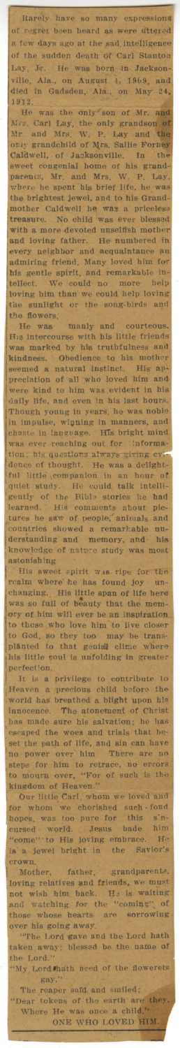Rarely have so many expressions<br>of regret been heard as were uttered<br>a few days ago at the sad intelligence<br>of the sudden death of Carl Stanton Lay, Jr. He was born in Jackson-<br>Lay, Jr. He was born in Jackson-<br>ville, Ala., on August 4, 1969, and<br>died in Gadsden, Ala., on May 24,<br>1912.

1912.<br>
He was the only son of Mr. and<br>
Mrs. Carl Lay, the only grandson of<br>
Mr. and Mrs. W. P. Lay and the<br>
only grandchild of Mrs. Sallie Forney<br>
Caldwell, of Jacksonville. In the<br>
sweet congenial home of his grand-<br>
pare ms gentie spirit, and remarkable in-<br>tellect. We could no more help<br>loving him than we could help loving<br>the sunlight or the song-birds and<br>the flowers.

the flowers.<br>He was manly and courteous.<br>His intercourse with his little friends<br>was marked by his truthfulness and<br>kindness. Obedience to his mother<br>seemed a natural instinct. His ap-<br>preciation of all who loved him and<br>w in impulse, winning in manners, and<br>chaste in language. His bright mind<br>was ever reaching out for informa-<br>tion; his questions always giving ever-<br>dence of thought. He was a delight-<br>ful little companion in an hour of<br>quie astonishing

astonishing<br>
His sweet spirit was ripe for the<br>
realm where he has found joy<br>
changing. His little span of life here<br>
was so full of beauty that the mem-<br>
ory of him will ever be an inspiration<br>
to those who love him to li perfection.

perfection.<br>It is a privilege to contribute to<br>Heaven a precious child before the<br>world has breathed a blight upon his<br>innocence. The atonement of Christ<br>has made sure his salvation; he has<br>escaped the woes and trials that

to mourn over, "For or such is the<br>kingdom of Heaven."<br>Our little Carl, whom we loved and<br>for whom we cherished such fond<br>hopes, was too pure for this sin-<br>cursed world. Jesus bade him<br>"come" to His loving embrace. He<br>is a crown.

Mother, father, grandparents,<br>loving relatives and friends, we must<br>not wish him back. He is waiting<br>and watching for the "coming" of<br>those whose hearts are sorrowing

over his going away.<br>
"The Lord gave and the Lord hath<br>
taken away; blessed be the name of

the Lord."<br>"My Lord hath of the flowerets need gay,

The reaper said and smiled;<br>
"Dear tokens of the earth are they<br>
Where He was once a child."<br>
ONE WHO LOVED HIM.